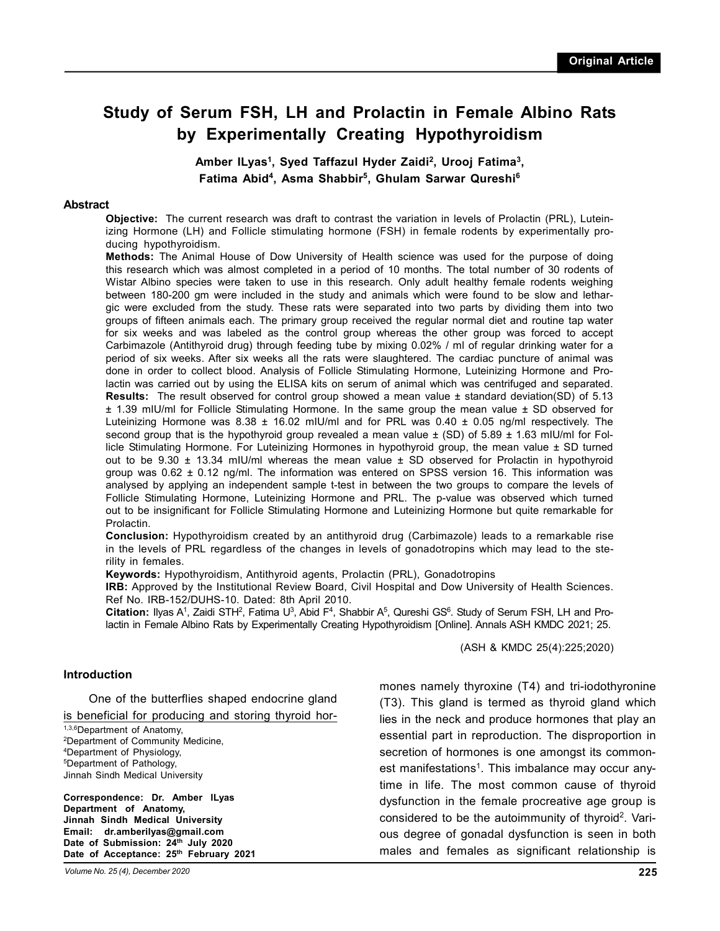# **Study of Serum FSH, LH and Prolactin in Female Albino Rats by Experimentally Creating Hypothyroidism**

**Amber ILyas<sup>1</sup> , Syed Taffazul Hyder Zaidi<sup>2</sup> , Urooj Fatima<sup>3</sup> , Fatima Abid<sup>4</sup> , Asma Shabbir<sup>5</sup> , Ghulam Sarwar Qureshi6**

#### **Abstract**

**Objective:** The current research was draft to contrast the variation in levels of Prolactin (PRL), Luteinizing Hormone (LH) and Follicle stimulating hormone (FSH) in female rodents by experimentally producing hypothyroidism.

**Methods:** The Animal House of Dow University of Health science was used for the purpose of doing this research which was almost completed in a period of 10 months. The total number of 30 rodents of Wistar Albino species were taken to use in this research. Only adult healthy female rodents weighing between 180-200 gm were included in the study and animals which were found to be slow and lethargic were excluded from the study. These rats were separated into two parts by dividing them into two groups of fifteen animals each. The primary group received the regular normal diet and routine tap water for six weeks and was labeled as the control group whereas the other group was forced to accept Carbimazole (Antithyroid drug) through feeding tube by mixing 0.02% / ml of regular drinking water for a period of six weeks. After six weeks all the rats were slaughtered. The cardiac puncture of animal was done in order to collect blood. Analysis of Follicle Stimulating Hormone, Luteinizing Hormone and Prolactin was carried out by using the ELISA kits on serum of animal which was centrifuged and separated. **Results:** The result observed for control group showed a mean value ± standard deviation(SD) of 5.13 ± 1.39 mIU/ml for Follicle Stimulating Hormone. In the same group the mean value ± SD observed for Luteinizing Hormone was 8.38  $\pm$  16.02 mIU/ml and for PRL was 0.40  $\pm$  0.05 ng/ml respectively. The second group that is the hypothyroid group revealed a mean value  $\pm$  (SD) of 5.89  $\pm$  1.63 mIU/ml for Follicle Stimulating Hormone. For Luteinizing Hormones in hypothyroid group, the mean value ± SD turned out to be  $9.30 \pm 13.34$  mIU/ml whereas the mean value  $\pm$  SD observed for Prolactin in hypothyroid group was  $0.62 \pm 0.12$  ng/ml. The information was entered on SPSS version 16. This information was analysed by applying an independent sample t-test in between the two groups to compare the levels of Follicle Stimulating Hormone, Luteinizing Hormone and PRL. The p-value was observed which turned out to be insignificant for Follicle Stimulating Hormone and Luteinizing Hormone but quite remarkable for Prolactin.

**Conclusion:** Hypothyroidism created by an antithyroid drug (Carbimazole) leads to a remarkable rise in the levels of PRL regardless of the changes in levels of gonadotropins which may lead to the sterility in females.

**Keywords:** Hypothyroidism, Antithyroid agents, Prolactin (PRL), Gonadotropins

**IRB:** Approved by the Institutional Review Board, Civil Hospital and Dow University of Health Sciences. Ref No. IRB-152/DUHS-10. Dated: 8th April 2010.

Citation: Ilyas A<sup>1</sup>, Zaidi STH<sup>2</sup>, Fatima U<sup>3</sup>, Abid F<sup>4</sup>, Shabbir A<sup>5</sup>, Qureshi GS<sup>6</sup>. Study of Serum FSH, LH and Prolactin in Female Albino Rats by Experimentally Creating Hypothyroidism [Online]. Annals ASH KMDC 2021; 25.

(ASH & KMDC 25(4):225;2020)

#### **Introduction**

One of the butterflies shaped endocrine gland is beneficial for producing and storing thyroid hor-

1,3,6Department of Anatomy, <sup>2</sup>Department of Community Medicine, <sup>4</sup>Department of Physiology, <sup>5</sup>Department of Pathology, Jinnah Sindh Medical University

**Correspondence: Dr. Amber ILyas Department of Anatomy, Jinnah Sindh Medical University Email: dr.amberilyas@gmail.com Date of Submission: 24th July 2020 Date of Acceptance: 25th February 2021** mones namely thyroxine (T4) and tri-iodothyronine (T3). This gland is termed as thyroid gland which lies in the neck and produce hormones that play an essential part in reproduction. The disproportion in secretion of hormones is one amongst its commonest manifestations<sup>1</sup>. This imbalance may occur anytime in life. The most common cause of thyroid dysfunction in the female procreative age group is considered to be the autoimmunity of thyroid<sup>2</sup>. Various degree of gonadal dysfunction is seen in both males and females as significant relationship is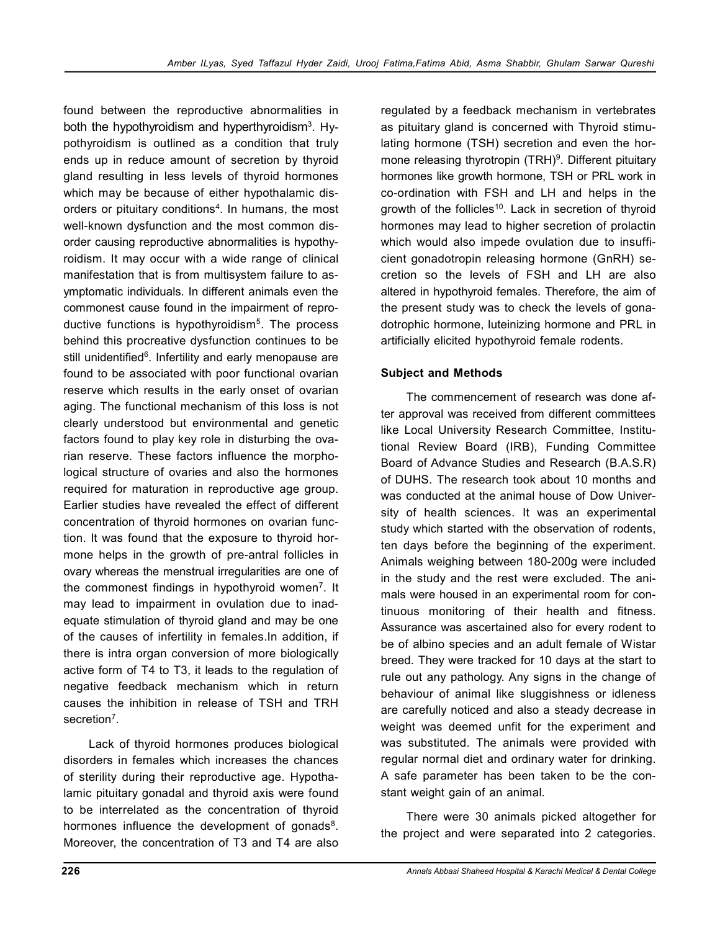found between the reproductive abnormalities in both the hypothyroidism and hyperthyroidism<sup>3</sup>. Hypothyroidism is outlined as a condition that truly ends up in reduce amount of secretion by thyroid gland resulting in less levels of thyroid hormones which may be because of either hypothalamic disorders or pituitary conditions<sup>4</sup>. In humans, the most well-known dysfunction and the most common disorder causing reproductive abnormalities is hypothyroidism. It may occur with a wide range of clinical manifestation that is from multisystem failure to asymptomatic individuals. In different animals even the commonest cause found in the impairment of reproductive functions is hypothyroidism<sup>5</sup>. The process behind this procreative dysfunction continues to be still unidentified<sup>6</sup>. Infertility and early menopause are found to be associated with poor functional ovarian reserve which results in the early onset of ovarian aging. The functional mechanism of this loss is not clearly understood but environmental and genetic factors found to play key role in disturbing the ovarian reserve. These factors influence the morphological structure of ovaries and also the hormones required for maturation in reproductive age group. Earlier studies have revealed the effect of different concentration of thyroid hormones on ovarian function. It was found that the exposure to thyroid hormone helps in the growth of pre-antral follicles in ovary whereas the menstrual irregularities are one of the commonest findings in hypothyroid women<sup>7</sup>. It may lead to impairment in ovulation due to inadequate stimulation of thyroid gland and may be one of the causes of infertility in females.In addition, if there is intra organ conversion of more biologically active form of T4 to T3, it leads to the regulation of negative feedback mechanism which in return causes the inhibition in release of TSH and TRH secretion<sup>7</sup>.

Lack of thyroid hormones produces biological disorders in females which increases the chances of sterility during their reproductive age. Hypothalamic pituitary gonadal and thyroid axis were found to be interrelated as the concentration of thyroid hormones influence the development of gonads<sup>8</sup>. Moreover, the concentration of T3 and T4 are also regulated by a feedback mechanism in vertebrates as pituitary gland is concerned with Thyroid stimulating hormone (TSH) secretion and even the hormone releasing thyrotropin (TRH)<sup>9</sup>. Different pituitary hormones like growth hormone, TSH or PRL work in co-ordination with FSH and LH and helps in the growth of the follicles<sup>10</sup>. Lack in secretion of thyroid hormones may lead to higher secretion of prolactin which would also impede ovulation due to insufficient gonadotropin releasing hormone (GnRH) secretion so the levels of FSH and LH are also altered in hypothyroid females. Therefore, the aim of the present study was to check the levels of gonadotrophic hormone, luteinizing hormone and PRL in artificially elicited hypothyroid female rodents.

# **Subject and Methods**

The commencement of research was done after approval was received from different committees like Local University Research Committee, Institutional Review Board (IRB), Funding Committee Board of Advance Studies and Research (B.A.S.R) of DUHS. The research took about 10 months and was conducted at the animal house of Dow University of health sciences. It was an experimental study which started with the observation of rodents, ten days before the beginning of the experiment. Animals weighing between 180-200g were included in the study and the rest were excluded. The animals were housed in an experimental room for continuous monitoring of their health and fitness. Assurance was ascertained also for every rodent to be of albino species and an adult female of Wistar breed. They were tracked for 10 days at the start to rule out any pathology. Any signs in the change of behaviour of animal like sluggishness or idleness are carefully noticed and also a steady decrease in weight was deemed unfit for the experiment and was substituted. The animals were provided with regular normal diet and ordinary water for drinking. A safe parameter has been taken to be the constant weight gain of an animal.

There were 30 animals picked altogether for the project and were separated into 2 categories.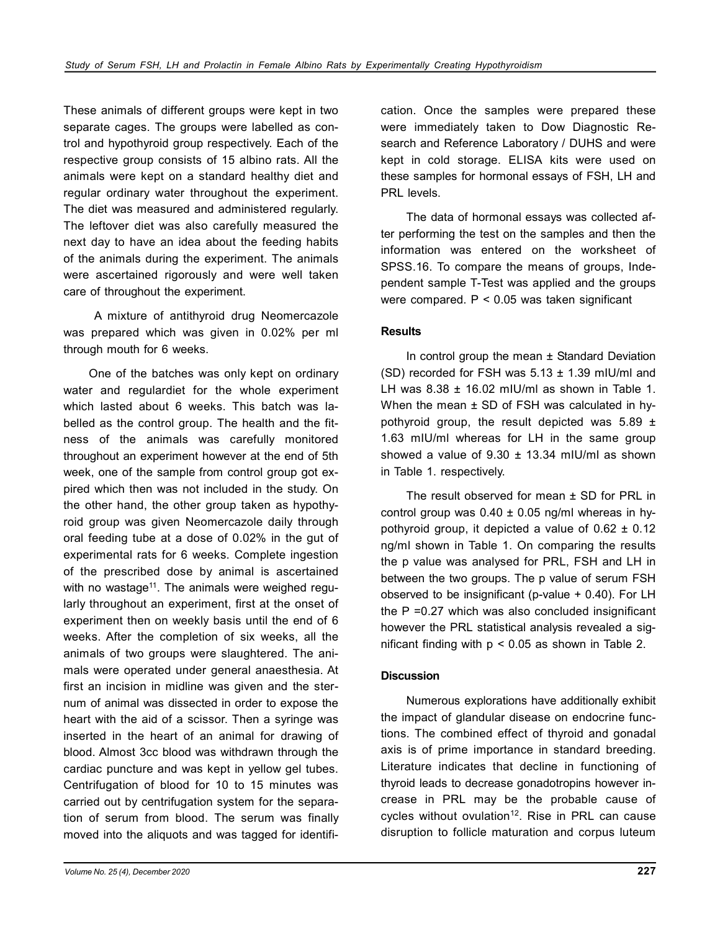These animals of different groups were kept in two separate cages. The groups were labelled as control and hypothyroid group respectively. Each of the respective group consists of 15 albino rats. All the animals were kept on a standard healthy diet and regular ordinary water throughout the experiment. The diet was measured and administered regularly. The leftover diet was also carefully measured the next day to have an idea about the feeding habits of the animals during the experiment. The animals were ascertained rigorously and were well taken care of throughout the experiment.

 A mixture of antithyroid drug Neomercazole was prepared which was given in 0.02% per ml through mouth for 6 weeks.

One of the batches was only kept on ordinary water and regulardiet for the whole experiment which lasted about 6 weeks. This batch was labelled as the control group. The health and the fitness of the animals was carefully monitored throughout an experiment however at the end of 5th week, one of the sample from control group got expired which then was not included in the study. On the other hand, the other group taken as hypothyroid group was given Neomercazole daily through oral feeding tube at a dose of 0.02% in the gut of experimental rats for 6 weeks. Complete ingestion of the prescribed dose by animal is ascertained with no wastage<sup>11</sup>. The animals were weighed regularly throughout an experiment, first at the onset of experiment then on weekly basis until the end of 6 weeks. After the completion of six weeks, all the animals of two groups were slaughtered. The animals were operated under general anaesthesia. At first an incision in midline was given and the sternum of animal was dissected in order to expose the heart with the aid of a scissor. Then a syringe was inserted in the heart of an animal for drawing of blood. Almost 3cc blood was withdrawn through the cardiac puncture and was kept in yellow gel tubes. Centrifugation of blood for 10 to 15 minutes was carried out by centrifugation system for the separation of serum from blood. The serum was finally moved into the aliquots and was tagged for identification. Once the samples were prepared these were immediately taken to Dow Diagnostic Research and Reference Laboratory / DUHS and were kept in cold storage. ELISA kits were used on these samples for hormonal essays of FSH, LH and PRL levels.

The data of hormonal essays was collected after performing the test on the samples and then the information was entered on the worksheet of SPSS.16. To compare the means of groups, Independent sample T-Test was applied and the groups were compared. P < 0.05 was taken significant

#### **Results**

In control group the mean ± Standard Deviation (SD) recorded for FSH was  $5.13 \pm 1.39$  mIU/ml and LH was  $8.38 \pm 16.02$  mIU/ml as shown in Table 1. When the mean  $\pm$  SD of FSH was calculated in hypothyroid group, the result depicted was  $5.89 \pm$ 1.63 mIU/ml whereas for LH in the same group showed a value of  $9.30 \pm 13.34$  mIU/mI as shown in Table 1. respectively.

The result observed for mean  $\pm$  SD for PRL in control group was  $0.40 \pm 0.05$  ng/ml whereas in hypothyroid group, it depicted a value of  $0.62 \pm 0.12$ ng/ml shown in Table 1. On comparing the results the p value was analysed for PRL, FSH and LH in between the two groups. The p value of serum FSH observed to be insignificant (p-value + 0.40). For LH the P =0.27 which was also concluded insignificant however the PRL statistical analysis revealed a significant finding with  $p < 0.05$  as shown in Table 2.

## **Discussion**

Numerous explorations have additionally exhibit the impact of glandular disease on endocrine functions. The combined effect of thyroid and gonadal axis is of prime importance in standard breeding. Literature indicates that decline in functioning of thyroid leads to decrease gonadotropins however increase in PRL may be the probable cause of cycles without ovulation<sup>12</sup>. Rise in PRL can cause disruption to follicle maturation and corpus luteum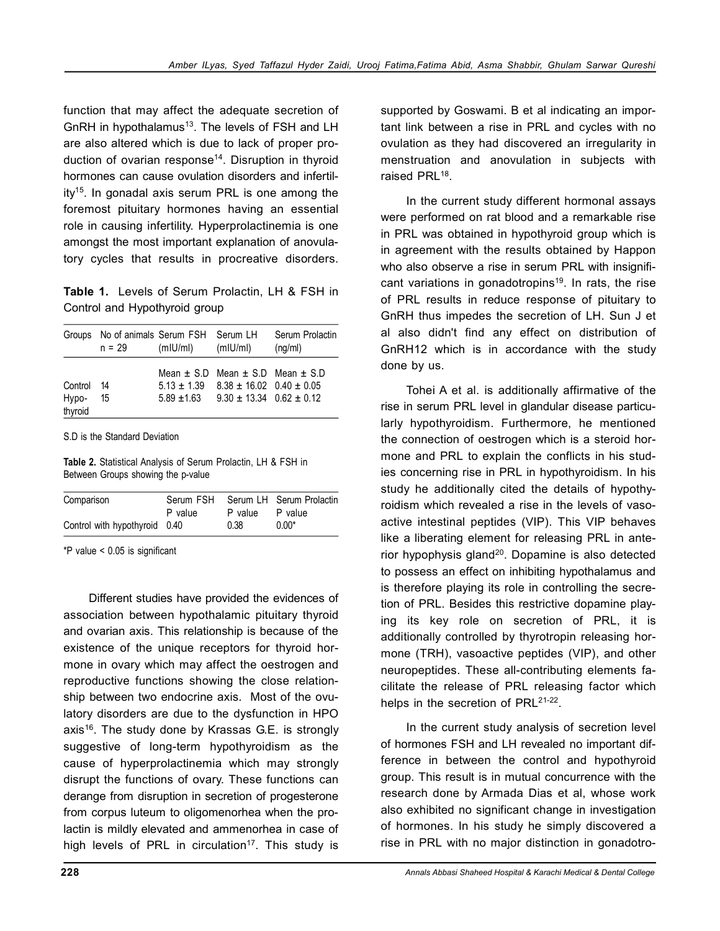function that may affect the adequate secretion of GnRH in hypothalamus<sup>13</sup>. The levels of FSH and LH are also altered which is due to lack of proper production of ovarian response<sup>14</sup>. Disruption in thyroid hormones can cause ovulation disorders and infertil $ity^{15}$ . In gonadal axis serum PRL is one among the foremost pituitary hormones having an essential role in causing infertility. Hyperprolactinemia is one amongst the most important explanation of anovulatory cycles that results in procreative disorders.

**Table 1.** Levels of Serum Prolactin, LH & FSH in Control and Hypothyroid group

|                             | Groups No of animals Serum FSH Serum LH<br>n = 29 | (mIU/mI) | (mIU/mI)                                                                                                                                             | Serum Prolactin<br>(nq/ml) |
|-----------------------------|---------------------------------------------------|----------|------------------------------------------------------------------------------------------------------------------------------------------------------|----------------------------|
| Control<br>Hypo-<br>thyroid | 14<br>15                                          |          | Mean $\pm$ S.D Mean $\pm$ S.D Mean $\pm$ S.D<br>$5.13 \pm 1.39$ $8.38 \pm 16.02$ $0.40 \pm 0.05$<br>$5.89 \pm 1.63$ $9.30 \pm 13.34$ $0.62 \pm 0.12$ |                            |

S.D is the Standard Deviation

**Table 2.** Statistical Analysis of Serum Prolactin, LH & FSH in Between Groups showing the p-value

| Comparison                    | Serum FSH |         | Serum LH Serum Prolactin |
|-------------------------------|-----------|---------|--------------------------|
|                               | P value   | P value | P value                  |
| Control with hypothyroid 0.40 |           | 0.38    | $0.00*$                  |

\*P value < 0.05 is significant

Different studies have provided the evidences of association between hypothalamic pituitary thyroid and ovarian axis. This relationship is because of the existence of the unique receptors for thyroid hormone in ovary which may affect the oestrogen and reproductive functions showing the close relationship between two endocrine axis. Most of the ovulatory disorders are due to the dysfunction in HPO axis<sup>16</sup>. The study done by Krassas G.E. is strongly suggestive of long-term hypothyroidism as the cause of hyperprolactinemia which may strongly disrupt the functions of ovary. These functions can derange from disruption in secretion of progesterone from corpus luteum to oligomenorhea when the prolactin is mildly elevated and ammenorhea in case of high levels of PRL in circulation<sup>17</sup>. This study is

supported by Goswami. B et al indicating an important link between a rise in PRL and cycles with no ovulation as they had discovered an irregularity in menstruation and anovulation in subjects with raised PRL<sup>18</sup>.

In the current study different hormonal assays were performed on rat blood and a remarkable rise in PRL was obtained in hypothyroid group which is in agreement with the results obtained by Happon who also observe a rise in serum PRL with insignificant variations in gonadotropins<sup>19</sup>. In rats, the rise of PRL results in reduce response of pituitary to GnRH thus impedes the secretion of LH. Sun J et al also didn't find any effect on distribution of GnRH12 which is in accordance with the study done by us.

Tohei A et al. is additionally affirmative of the rise in serum PRL level in glandular disease particularly hypothyroidism. Furthermore, he mentioned the connection of oestrogen which is a steroid hormone and PRL to explain the conflicts in his studies concerning rise in PRL in hypothyroidism. In his study he additionally cited the details of hypothyroidism which revealed a rise in the levels of vasoactive intestinal peptides (VIP). This VIP behaves like a liberating element for releasing PRL in anterior hypophysis gland $20$ . Dopamine is also detected to possess an effect on inhibiting hypothalamus and is therefore playing its role in controlling the secretion of PRL. Besides this restrictive dopamine playing its key role on secretion of PRL, it is additionally controlled by thyrotropin releasing hormone (TRH), vasoactive peptides (VIP), and other neuropeptides. These all-contributing elements facilitate the release of PRL releasing factor which helps in the secretion of PRL<sup>21-22</sup>.

In the current study analysis of secretion level of hormones FSH and LH revealed no important difference in between the control and hypothyroid group. This result is in mutual concurrence with the research done by Armada Dias et al, whose work also exhibited no significant change in investigation of hormones. In his study he simply discovered a rise in PRL with no major distinction in gonadotro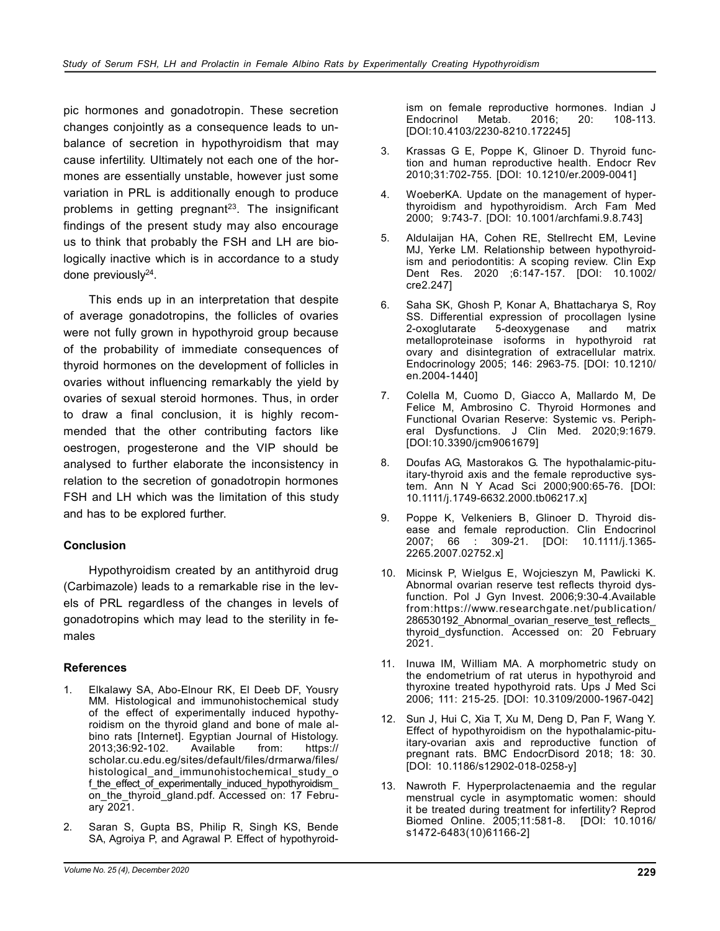pic hormones and gonadotropin. These secretion changes conjointly as a consequence leads to unbalance of secretion in hypothyroidism that may cause infertility. Ultimately not each one of the hormones are essentially unstable, however just some variation in PRL is additionally enough to produce problems in getting pregnant<sup>23</sup>. The insignificant findings of the present study may also encourage us to think that probably the FSH and LH are biologically inactive which is in accordance to a study done previously<sup>24</sup>.

This ends up in an interpretation that despite of average gonadotropins, the follicles of ovaries were not fully grown in hypothyroid group because of the probability of immediate consequences of thyroid hormones on the development of follicles in ovaries without influencing remarkably the yield by ovaries of sexual steroid hormones. Thus, in order to draw a final conclusion, it is highly recommended that the other contributing factors like oestrogen, progesterone and the VIP should be analysed to further elaborate the inconsistency in relation to the secretion of gonadotropin hormones FSH and LH which was the limitation of this study and has to be explored further.

## **Conclusion**

Hypothyroidism created by an antithyroid drug (Carbimazole) leads to a remarkable rise in the levels of PRL regardless of the changes in levels of gonadotropins which may lead to the sterility in females

#### **References**

- 1. Elkalawy SA, Abo-Elnour RK, El Deeb DF, Yousry MM. Histological and immunohistochemical study of the effect of experimentally induced hypothyroidism on the thyroid gland and bone of male albino rats [Internet]. Egyptian Journal of Histology.<br>2013:36:92-102. Available from: https:// 2013;36:92-102. Available from: https:// scholar.cu.edu.eg/sites/default/files/drmarwa/files/ histological and immunohistochemical study of f the effect of experimentally induced hypothyroidism on the thyroid gland.pdf. Accessed on: 17 February 2021.
- 2. Saran S, Gupta BS, Philip R, Singh KS, Bende SA, Agroiya P, and Agrawal P. Effect of hypothyroid-

ism on female reproductive hormones. Indian J Endocrinol Metab. 2016; 20: 108-113. [DOI:10.4103/2230-8210.172245]

- 3. Krassas G E, Poppe K, Glinoer D. Thyroid function and human reproductive health. Endocr Rev 2010;31:702-755. [DOI: 10.1210/er.2009-0041]
- 4. WoeberKA. Update on the management of hyperthyroidism and hypothyroidism. Arch Fam Med 2000; 9:743-7. [DOI: 10.1001/archfami.9.8.743]
- 5. Aldulaijan HA, Cohen RE, Stellrecht EM, Levine MJ, Yerke LM. Relationship between hypothyroidism and periodontitis: A scoping review. Clin Exp Dent Res. 2020 ;6:147-157. [DOI: 10.1002/ cre2.247]
- 6. Saha SK, Ghosh P, Konar A, Bhattacharya S, Roy SS. Differential expression of procollagen lysine<br>2-oxoglutarate 5-deoxygenase and matrix 5-deoxygenase and matrix metalloproteinase isoforms in hypothyroid rat ovary and disintegration of extracellular matrix. Endocrinology 2005; 146: 2963-75. [DOI: 10.1210/ en.2004-1440]
- 7. Colella M, Cuomo D, Giacco A, Mallardo M, De Felice M, Ambrosino C. Thyroid Hormones and Functional Ovarian Reserve: Systemic vs. Peripheral Dysfunctions. J Clin Med. 2020;9:1679. [DOI:10.3390/jcm9061679]
- 8. Doufas AG, Mastorakos G. The hypothalamic-pituitary-thyroid axis and the female reproductive system. Ann N Y Acad Sci 2000;900:65-76. [DOI: 10.1111/j.1749-6632.2000.tb06217.x]
- 9. Poppe K, Velkeniers B, Glinoer D. Thyroid disease and female reproduction. Clin Endocrinol 2007; 66 : 309-21. [DOI: 10.1111/j.1365- 2265.2007.02752.x]
- 10. Micinsk P, Wielgus E, Wojcieszyn M, Pawlicki K. Abnormal ovarian reserve test reflects thyroid dysfunction. Pol J Gyn Invest. 2006;9:30-4.Available from:https://www.researchgate.net/publication/ 286530192 Abnormal ovarian reserve test reflects thyroid\_dysfunction. Accessed on: 20 February 2021.
- 11. Inuwa IM, William MA. A morphometric study on the endometrium of rat uterus in hypothyroid and thyroxine treated hypothyroid rats. Ups J Med Sci 2006; 111: 215-25. [DOI: 10.3109/2000-1967-042]
- 12. Sun J, Hui C, Xia T, Xu M, Deng D, Pan F, Wang Y. Effect of hypothyroidism on the hypothalamic-pituitary-ovarian axis and reproductive function of pregnant rats. BMC EndocrDisord 2018; 18: 30. [DOI: 10.1186/s12902-018-0258-y]
- 13. Nawroth F. Hyperprolactenaemia and the regular menstrual cycle in asymptomatic women: should it be treated during treatment for infertility? Reprod Biomed Online. 2005;11:581-8. [DOI: 10.1016/ s1472-6483(10)61166-2]